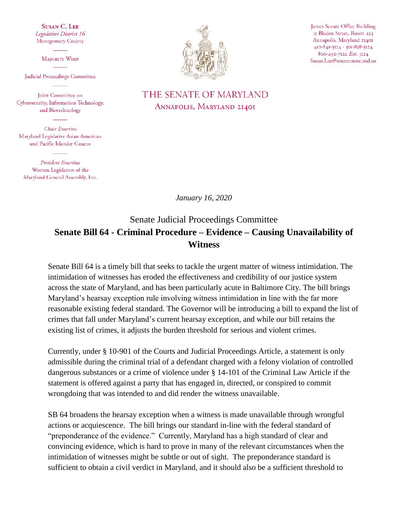**SUSAN C. LEE** Legislative District 16 Montgomery County

**MAIORITY WHIP** 

Judicial Proceedings Committee

Joint Committee on Cybersecurity, Information Technology, and Biotechnology

Chair Emeritus Maryland Legislative Asian American and Pacific Islander Caucus

**President Emeritus** Women Legislators of the Maryland General Assembly, Inc.



James Senate Office Building II Bladen Street, Room 223 Annapolis, Maryland 21401 410-841-3124 - 301-858-3124 800-492-7122 Ext. 3124 Susan.Lee@senate.state.md.us

## THE SENATE OF MARYLAND ANNAPOLIS, MARYLAND 21401

*January 16, 2020*

## Senate Judicial Proceedings Committee **Senate Bill 64 - Criminal Procedure – Evidence – Causing Unavailability of Witness**

Senate Bill 64 is a timely bill that seeks to tackle the urgent matter of witness intimidation. The intimidation of witnesses has eroded the effectiveness and credibility of our justice system across the state of Maryland, and has been particularly acute in Baltimore City. The bill brings Maryland's hearsay exception rule involving witness intimidation in line with the far more reasonable existing federal standard. The Governor will be introducing a bill to expand the list of crimes that fall under Maryland's current hearsay exception, and while our bill retains the existing list of crimes, it adjusts the burden threshold for serious and violent crimes.

Currently, under § 10-901 of the Courts and Judicial Proceedings Article, a statement is only admissible during the criminal trial of a defendant charged with a felony violation of controlled dangerous substances or a crime of violence under § 14-101 of the Criminal Law Article if the statement is offered against a party that has engaged in, directed, or conspired to commit wrongdoing that was intended to and did render the witness unavailable.

SB 64 broadens the hearsay exception when a witness is made unavailable through wrongful actions or acquiescence. The bill brings our standard in-line with the federal standard of "preponderance of the evidence." Currently, Maryland has a high standard of clear and convincing evidence, which is hard to prove in many of the relevant circumstances when the intimidation of witnesses might be subtle or out of sight. The preponderance standard is sufficient to obtain a civil verdict in Maryland, and it should also be a sufficient threshold to